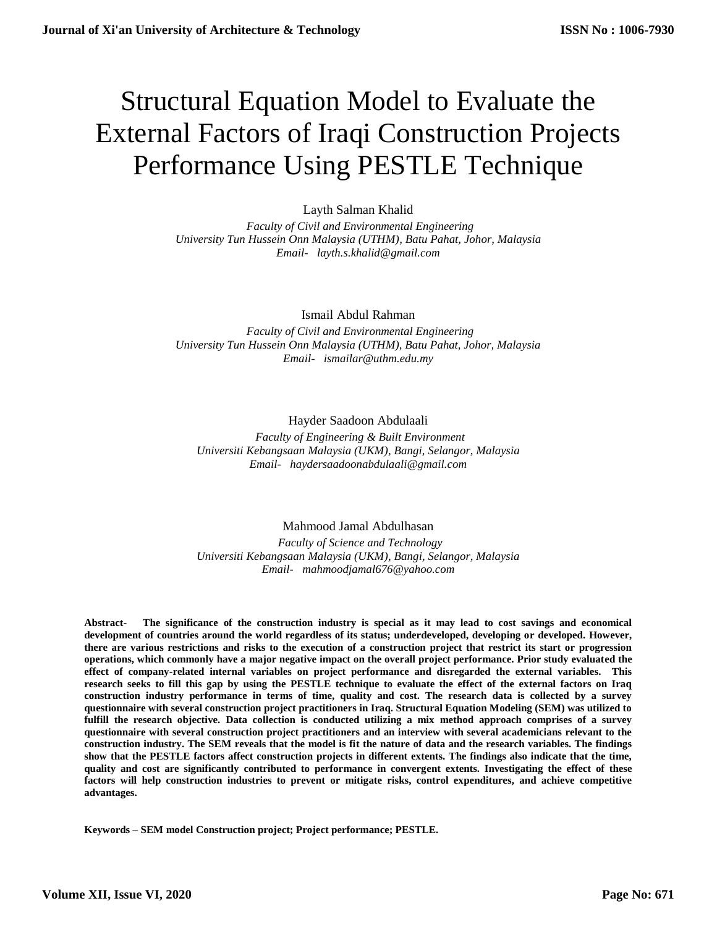# Structural Equation Model to Evaluate the External Factors of Iraqi Construction Projects Performance Using PESTLE Technique

Layth Salman Khalid

 *Faculty of Civil and Environmental Engineering University Tun Hussein Onn Malaysia (UTHM), Batu Pahat, Johor, Malaysia [Email- layth.s.khalid@gmail.com](mailto:Email-%20%20%20anuradhamit@gmail.com)*

Ismail Abdul Rahman

 *Faculty of Civil and Environmental Engineering University Tun Hussein Onn Malaysia (UTHM), Batu Pahat, Johor, Malaysia [Email- ismailar@uthm.edu.my](mailto:Email-%20%20%20anuradhamit@gmail.com)*

# Hayder Saadoon Abdulaali

 *Faculty of Engineering & Built Environment Universiti Kebangsaan Malaysia (UKM), Bangi, Selangor, Malaysia [Email- haydersaadoonabdulaali@gmail.com](mailto:Email-%20%20%20anuradhamit@gmail.com)*

# Mahmood Jamal Abdulhasan

 *Faculty of Science and Technology Universiti Kebangsaan Malaysia (UKM), Bangi, Selangor, Malaysia [Email- mahmoodjamal676@yahoo.com](mailto:Email-%20%20%20anuradhamit@gmail.com)*

**Abstract- The significance of the construction industry is special as it may lead to cost savings and economical development of countries around the world regardless of its status; underdeveloped, developing or developed. However, there are various restrictions and risks to the execution of a construction project that restrict its start or progression operations, which commonly have a major negative impact on the overall project performance. Prior study evaluated the effect of company-related internal variables on project performance and disregarded the external variables. This research seeks to fill this gap by using the PESTLE technique to evaluate the effect of the external factors on Iraq construction industry performance in terms of time, quality and cost. The research data is collected by a survey questionnaire with several construction project practitioners in Iraq. Structural Equation Modeling (SEM) was utilized to fulfill the research objective. Data collection is conducted utilizing a mix method approach comprises of a survey questionnaire with several construction project practitioners and an interview with several academicians relevant to the construction industry. The SEM reveals that the model is fit the nature of data and the research variables. The findings show that the PESTLE factors affect construction projects in different extents. The findings also indicate that the time, quality and cost are significantly contributed to performance in convergent extents. Investigating the effect of these factors will help construction industries to prevent or mitigate risks, control expenditures, and achieve competitive advantages.**

**Keywords – SEM model Construction project; Project performance; PESTLE.**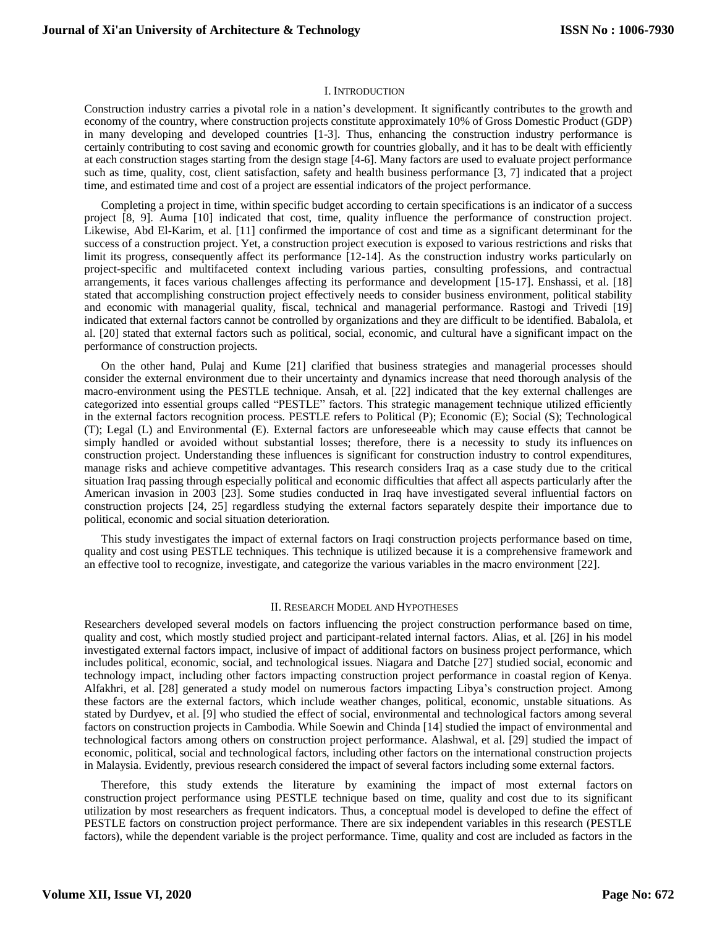#### I. INTRODUCTION

Construction industry carries a pivotal role in a nation's development. It significantly contributes to the growth and economy of the country, where construction projects constitute approximately 10% of Gross Domestic Product (GDP) in many developing and developed countries [1-3]. Thus, enhancing the construction industry performance is certainly contributing to cost saving and economic growth for countries globally, and it has to be dealt with efficiently at each construction stages starting from the design stage [4-6]. Many factors are used to evaluate project performance such as time, quality, cost, client satisfaction, safety and health business performance [3, 7] indicated that a project time, and estimated time and cost of a project are essential indicators of the project performance.

Completing a project in time, within specific budget according to certain specifications is an indicator of a success project [8, 9]. Auma [10] indicated that cost, time, quality influence the performance of construction project. Likewise, Abd El-Karim, et al. [11] confirmed the importance of cost and time as a significant determinant for the success of a construction project. Yet, a construction project execution is exposed to various restrictions and risks that limit its progress, consequently affect its performance [12-14]. As the construction industry works particularly on project-specific and multifaceted context including various parties, consulting professions, and contractual arrangements, it faces various challenges affecting its performance and development [15-17]. Enshassi, et al. [18] stated that accomplishing construction project effectively needs to consider business environment, political stability and economic with managerial quality, fiscal, technical and managerial performance. Rastogi and Trivedi [19] indicated that external factors cannot be controlled by organizations and they are difficult to be identified. Babalola, et al. [20] stated that external factors such as political, social, economic, and cultural have a significant impact on the performance of construction projects.

On the other hand, Pulaj and Kume [21] clarified that business strategies and managerial processes should consider the external environment due to their uncertainty and dynamics increase that need thorough analysis of the macro-environment using the PESTLE technique. Ansah, et al. [22] indicated that the key external challenges are categorized into essential groups called "PESTLE" factors. This strategic management technique utilized efficiently in the external factors recognition process. PESTLE refers to Political (P); Economic (E); Social (S); Technological (T); Legal (L) and Environmental (E). External factors are unforeseeable which may cause effects that cannot be simply handled or avoided without substantial losses; therefore, there is a necessity to study its influences on construction project. Understanding these influences is significant for construction industry to control expenditures, manage risks and achieve competitive advantages. This research considers Iraq as a case study due to the critical situation Iraq passing through especially political and economic difficulties that affect all aspects particularly after the American invasion in 2003 [23]. Some studies conducted in Iraq have investigated several influential factors on construction projects [24, 25] regardless studying the external factors separately despite their importance due to political, economic and social situation deterioration.

This study investigates the impact of external factors on Iraqi construction projects performance based on time, quality and cost using PESTLE techniques. This technique is utilized because it is a comprehensive framework and an effective tool to recognize, investigate, and categorize the various variables in the macro environment [22].

#### II. RESEARCH MODEL AND HYPOTHESES

Researchers developed several models on factors influencing the project construction performance based on time, quality and cost, which mostly studied project and participant-related internal factors. Alias, et al. [26] in his model investigated external factors impact, inclusive of impact of additional factors on business project performance, which includes political, economic, social, and technological issues. Niagara and Datche [27] studied social, economic and technology impact, including other factors impacting construction project performance in coastal region of Kenya. Alfakhri, et al. [28] generated a study model on numerous factors impacting Libya's construction project. Among these factors are the external factors, which include weather changes, political, economic, unstable situations. As stated by Durdyev, et al. [9] who studied the effect of social, environmental and technological factors among several factors on construction projects in Cambodia. While Soewin and Chinda [14] studied the impact of environmental and technological factors among others on construction project performance. Alashwal, et al. [29] studied the impact of economic, political, social and technological factors, including other factors on the international construction projects in Malaysia. Evidently, previous research considered the impact of several factors including some external factors.

Therefore, this study extends the literature by examining the impact of most external factors on construction project performance using PESTLE technique based on time, quality and cost due to its significant utilization by most researchers as frequent indicators. Thus, a conceptual model is developed to define the effect of PESTLE factors on construction project performance. There are six independent variables in this research (PESTLE factors), while the dependent variable is the project performance. Time, quality and cost are included as factors in the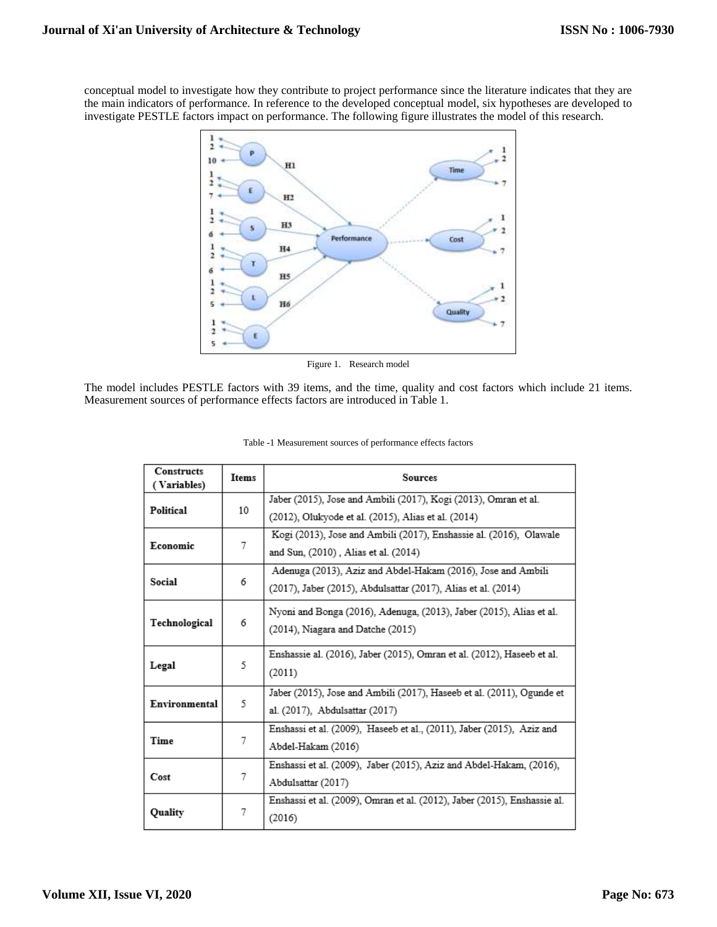conceptual model to investigate how they contribute to project performance since the literature indicates that they are the main indicators of performance. In reference to the developed conceptual model, six hypotheses are developed to investigate PESTLE factors impact on performance. The following figure illustrates the model of this research.



Figure 1. Research model

The model includes PESTLE factors with 39 items, and the time, quality and cost factors which include 21 items. Measurement sources of performance effects factors are introduced in Table 1.

| <b>Constructs</b><br>(Variables) | Items | Sources                                                                  |  |  |  |
|----------------------------------|-------|--------------------------------------------------------------------------|--|--|--|
| Political                        | 10    | Jaber (2015), Jose and Ambili (2017), Kogi (2013), Omran et al.          |  |  |  |
|                                  |       | (2012), Olukyode et al. (2015), Alias et al. (2014)                      |  |  |  |
|                                  |       | Kogi (2013), Jose and Ambili (2017), Enshassie al. (2016), Olawale       |  |  |  |
| Economic                         | 7     | and Sun, (2010) , Alias et al. (2014)                                    |  |  |  |
|                                  |       | Adenuga (2013), Aziz and Abdel-Hakam (2016), Jose and Ambili             |  |  |  |
| Social                           | 6     | (2017), Jaber (2015), Abdulsattar (2017), Alias et al. (2014)            |  |  |  |
|                                  |       | Nyoni and Bonga (2016), Adenuga, (2013), Jaber (2015), Alias et al.      |  |  |  |
| Technological                    | 6     | $(2014)$ , Niagara and Datche $(2015)$                                   |  |  |  |
|                                  |       | Enshassie al. (2016), Jaber (2015), Omran et al. (2012), Haseeb et al.   |  |  |  |
| Legal                            | 5     | (2011)                                                                   |  |  |  |
| Environmental                    |       | Jaber (2015), Jose and Ambili (2017), Haseeb et al. (2011), Ogunde et    |  |  |  |
|                                  | 5     | al. (2017), Abdulsattar (2017)                                           |  |  |  |
|                                  |       | Enshassi et al. (2009), Haseeb et al., (2011), Jaber (2015), Aziz and    |  |  |  |
| Time                             | 7     | Abdel-Hakam (2016)                                                       |  |  |  |
|                                  |       | Enshassi et al. (2009), Jaber (2015), Aziz and Abdel-Hakam, (2016),      |  |  |  |
| Cost                             | 7     | Abdulsattar (2017)                                                       |  |  |  |
|                                  |       | Enshassi et al. (2009), Omran et al. (2012), Jaber (2015), Enshassie al. |  |  |  |
| <b>Quality</b>                   | 7     | (2016)                                                                   |  |  |  |

| Table -1 Measurement sources of performance effects factors |
|-------------------------------------------------------------|
|-------------------------------------------------------------|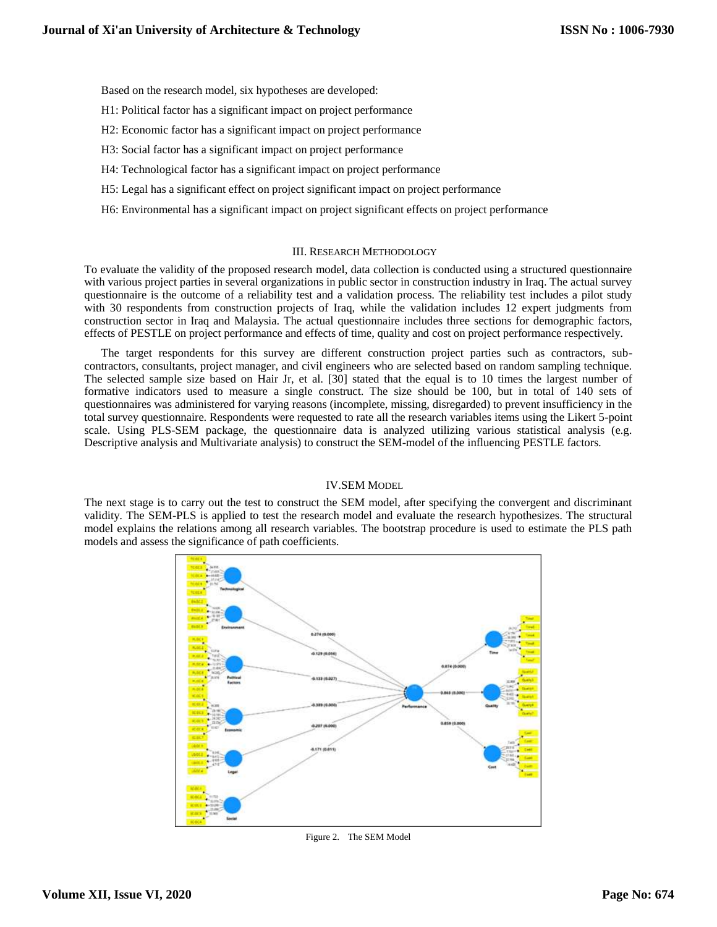Based on the research model, six hypotheses are developed:

- H1: Political factor has a significant impact on project performance
- H2: Economic factor has a significant impact on project performance
- H3: Social factor has a significant impact on project performance
- H4: Technological factor has a significant impact on project performance
- H5: Legal has a significant effect on project significant impact on project performance
- H6: Environmental has a significant impact on project significant effects on project performance

#### III. RESEARCH METHODOLOGY

To evaluate the validity of the proposed research model, data collection is conducted using a structured questionnaire with various project parties in several organizations in public sector in construction industry in Iraq. The actual survey questionnaire is the outcome of a reliability test and a validation process. The reliability test includes a pilot study with 30 respondents from construction projects of Iraq, while the validation includes 12 expert judgments from construction sector in Iraq and Malaysia. The actual questionnaire includes three sections for demographic factors, effects of PESTLE on project performance and effects of time, quality and cost on project performance respectively.

The target respondents for this survey are different construction project parties such as contractors, subcontractors, consultants, project manager, and civil engineers who are selected based on random sampling technique. The selected sample size based on Hair Jr, et al. [30] stated that the equal is to 10 times the largest number of formative indicators used to measure a single construct. The size should be 100, but in total of 140 sets of questionnaires was administered for varying reasons (incomplete, missing, disregarded) to prevent insufficiency in the total survey questionnaire. Respondents were requested to rate all the research variables items using the Likert 5-point scale. Using PLS-SEM package, the questionnaire data is analyzed utilizing various statistical analysis (e.g. Descriptive analysis and Multivariate analysis) to construct the SEM-model of the influencing PESTLE factors.

#### IV.SEM MODEL

The next stage is to carry out the test to construct the SEM model, after specifying the convergent and discriminant validity. The SEM-PLS is applied to test the research model and evaluate the research hypothesizes. The structural model explains the relations among all research variables. The bootstrap procedure is used to estimate the PLS path models and assess the significance of path coefficients.



Figure 2. The SEM Model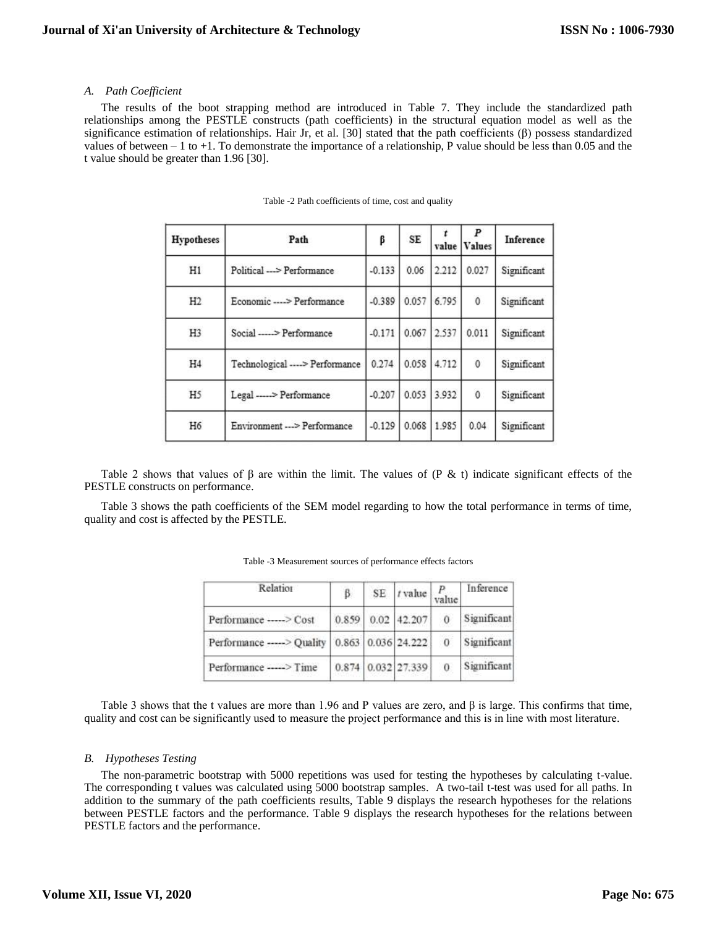# *A. Path Coefficient*

The results of the boot strapping method are introduced in Table 7. They include the standardized path relationships among the PESTLE constructs (path coefficients) in the structural equation model as well as the significance estimation of relationships. Hair Jr, et al. [30] stated that the path coefficients (β) possess standardized values of between  $-1$  to  $+1$ . To demonstrate the importance of a relationship, P value should be less than 0.05 and the t value should be greater than 1.96 [30].

| Hypotheses     | Path                            | β        | SE    | value         | P<br><b>Values</b> | Inference   |
|----------------|---------------------------------|----------|-------|---------------|--------------------|-------------|
| H1             | Political --- > Performance     | $-0.133$ | 0.06  | 2.212         | 0.027              | Significant |
| H2             | Economic ----> Performance      | $-0.389$ |       | $0.057$ 6.795 | $\mathbf{0}$       | Significant |
| H <sub>3</sub> | Social -----> Performance       | $-0.171$ | 0.067 | 2.537         | 0.011              | Significant |
| H <sub>4</sub> | Technological ----> Performance | 0.274    | 0.058 | 4.712         | $\theta$           | Significant |
| H <sub>5</sub> | Legal -----> Performance        | $-0.207$ | 0.053 | 3.932         | $\mathbf{0}$       | Significant |
| H6             | Environment --- > Performance   | $-0.129$ | 0.068 | 1.985         | 0.04               | Significant |

| Table -2 Path coefficients of time, cost and quality |  |  |
|------------------------------------------------------|--|--|
|------------------------------------------------------|--|--|

Table 2 shows that values of  $\beta$  are within the limit. The values of (P & t) indicate significant effects of the PESTLE constructs on performance.

Table 3 shows the path coefficients of the SEM model regarding to how the total performance in terms of time, quality and cost is affected by the PESTLE.

| β |       | $P$<br>value                                                                             | Inference    |
|---|-------|------------------------------------------------------------------------------------------|--------------|
|   |       | 0                                                                                        | Significant  |
|   |       | $\mathbf{0}$                                                                             | Significant  |
|   |       | 0                                                                                        | Significant  |
|   | 0.859 | $0.02$ 42.207<br>Performance -----> Quality   0.863   0.036 24.222<br>0.874 0.032 27.339 | $SE$ / value |

| Table -3 Measurement sources of performance effects factors |  |
|-------------------------------------------------------------|--|
|-------------------------------------------------------------|--|

Table 3 shows that the t values are more than 1.96 and P values are zero, and  $\beta$  is large. This confirms that time, quality and cost can be significantly used to measure the project performance and this is in line with most literature.

# *B. Hypotheses Testing*

The non-parametric bootstrap with 5000 repetitions was used for testing the hypotheses by calculating t-value. The corresponding t values was calculated using 5000 bootstrap samples. A two-tail t-test was used for all paths. In addition to the summary of the path coefficients results, Table 9 displays the research hypotheses for the relations between PESTLE factors and the performance. Table 9 displays the research hypotheses for the relations between PESTLE factors and the performance.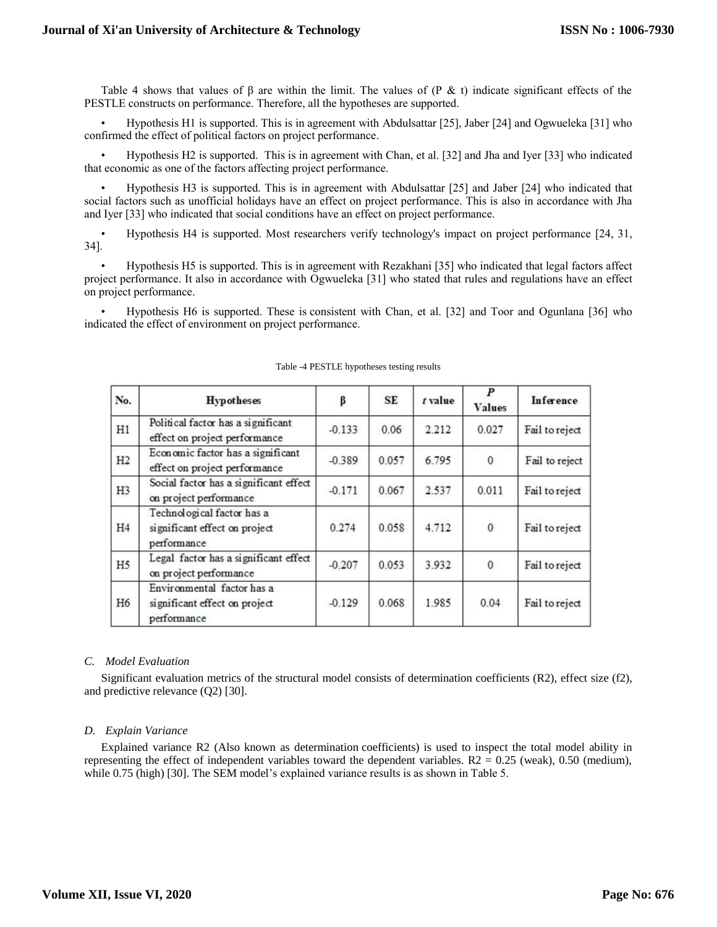Table 4 shows that values of  $\beta$  are within the limit. The values of (P & t) indicate significant effects of the PESTLE constructs on performance. Therefore, all the hypotheses are supported.

• Hypothesis H1 is supported. This is in agreement with Abdulsattar [25], Jaber [24] and Ogwueleka [31] who confirmed the effect of political factors on project performance.

• Hypothesis H2 is supported. This is in agreement with Chan, et al. [32] and Jha and Iyer [33] who indicated that economic as one of the factors affecting project performance.

• Hypothesis H3 is supported. This is in agreement with Abdulsattar [25] and Jaber [24] who indicated that social factors such as unofficial holidays have an effect on project performance. This is also in accordance with Jha and Iyer [33] who indicated that social conditions have an effect on project performance.

• Hypothesis H4 is supported. Most researchers verify technology's impact on project performance [24, 31, 34].

• Hypothesis H5 is supported. This is in agreement with Rezakhani [35] who indicated that legal factors affect project performance. It also in accordance with Ogwueleka [31] who stated that rules and regulations have an effect on project performance.

• Hypothesis H6 is supported. These is consistent with Chan, et al. [32] and Toor and Ogunlana [36] who indicated the effect of environment on project performance.

| No.            | <b>Hypotheses</b>                                                          | β        | <b>SE</b> | $t$ value | $\boldsymbol{P}$<br><b>Values</b> | Inference      |
|----------------|----------------------------------------------------------------------------|----------|-----------|-----------|-----------------------------------|----------------|
| H1             | Political factor has a significant<br>effect on project performance        | $-0.133$ | 0.06      | 2.212     | 0.027                             | Fail to reject |
| H2             | Economic factor has a significant<br>effect on project performance         | $-0.389$ | 0.057     | 6.795     | $\mathbf{0}$                      | Fail to reject |
| H <sub>3</sub> | Social factor has a significant effect<br>on project performance           | $-0.171$ | 0.067     | 2.537     | 0.011                             | Fail to reject |
| H4             | Technological factor has a<br>significant effect on project<br>performance | 0.274    | 0.058     | 4.712     | $\mathbf{0}$                      | Fail to reject |
| H <sub>5</sub> | Legal factor has a significant effect<br>on project performance            | $-0.207$ | 0.053     | 3.932     | 0                                 | Fail to reject |
| H <sub>6</sub> | Environmental factor has a<br>significant effect on project<br>performance | $-0.129$ | 0.068     | 1.985     | 0.04                              | Fail to reject |

#### Table -4 PESTLE hypotheses testing results

# *C. Model Evaluation*

Significant evaluation metrics of the structural model consists of determination coefficients (R2), effect size (f2), and predictive relevance (Q2) [30].

# *D. Explain Variance*

Explained variance R2 (Also known as determination coefficients) is used to inspect the total model ability in representing the effect of independent variables toward the dependent variables.  $R2 = 0.25$  (weak), 0.50 (medium), while 0.75 (high) [30]. The SEM model's explained variance results is as shown in Table 5.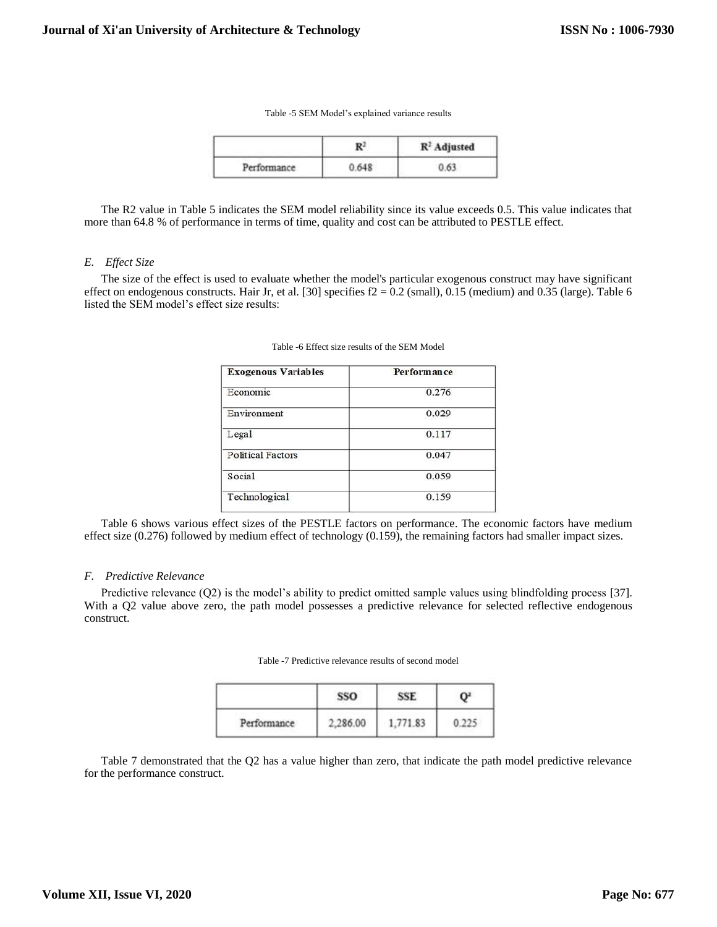|             | D.    | $R2$ Adjusted |
|-------------|-------|---------------|
| Performance | 0.648 |               |

The R2 value in Table 5 indicates the SEM model reliability since its value exceeds 0.5. This value indicates that more than 64.8 % of performance in terms of time, quality and cost can be attributed to PESTLE effect.

#### *E. Effect Size*

The size of the effect is used to evaluate whether the model's particular exogenous construct may have significant effect on endogenous constructs. Hair Jr, et al. [30] specifies  $f2 = 0.2$  (small), 0.15 (medium) and 0.35 (large). Table 6 listed the SEM model's effect size results:

| <b>Exogenous Variables</b> | Performance |  |  |
|----------------------------|-------------|--|--|
| Economic                   | 0.276       |  |  |
| Environment                | 0.029       |  |  |
| Legal                      | 0.117       |  |  |
| <b>Political Factors</b>   | 0.047       |  |  |
| Social                     | 0.059       |  |  |
| Technological              | 0.159       |  |  |

Table -6 Effect size results of the SEM Model

Table 6 shows various effect sizes of the PESTLE factors on performance. The economic factors have medium effect size (0.276) followed by medium effect of technology (0.159), the remaining factors had smaller impact sizes.

#### *F. Predictive Relevance*

Predictive relevance (Q2) is the model's ability to predict omitted sample values using blindfolding process [37]. With a Q2 value above zero, the path model possesses a predictive relevance for selected reflective endogenous construct.

Table -7 Predictive relevance results of second model

|             | n market |  |  |
|-------------|----------|--|--|
| Performance |          |  |  |

Table 7 demonstrated that the Q2 has a value higher than zero, that indicate the path model predictive relevance for the performance construct.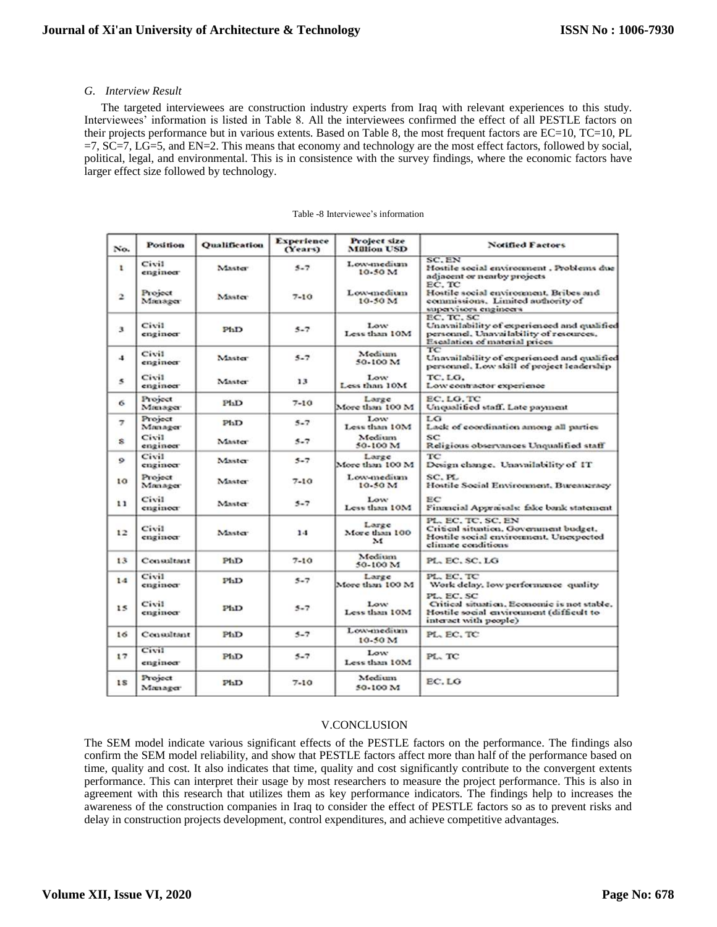# *G. Interview Result*

The targeted interviewees are construction industry experts from Iraq with relevant experiences to this study. Interviewees' information is listed in Table 8. All the interviewees confirmed the effect of all PESTLE factors on their projects performance but in various extents. Based on Table 8, the most frequent factors are EC=10, TC=10, PL =7, SC=7, LG=5, and EN=2. This means that economy and technology are the most effect factors, followed by social, political, legal, and environmental. This is in consistence with the survey findings, where the economic factors have larger effect size followed by technology.

| No.                      | <b>Position</b>    | <b>Qualification</b> | <b>Experience</b><br>(Years) | Project size<br><b>Million USD</b>     | <b>Notified Factors</b>                                                                                                               |
|--------------------------|--------------------|----------------------|------------------------------|----------------------------------------|---------------------------------------------------------------------------------------------------------------------------------------|
| 1                        | Civil<br>engineer  | Master               | $5 - 7$                      | Low-medium<br>10.50M                   | SC.EN<br>Hostile social environment, Problems due<br>adjacent or nearby projects                                                      |
| $\overline{\phantom{a}}$ | Project<br>Manager | Master               | $7 - 10$                     | Low-medium<br>$10-50M$                 | EC. TC<br>Hostile social environment. Bribes and<br>commissions. Limited authority of<br>supervisors engineers                        |
| 3                        | Civil<br>engineer  | P11D                 | $5 - 7$                      | Low<br>Less than 10M                   | EC. TC. SC<br>Unavailability of experienced and qualified<br>personnel. Unavailability of resources,<br>Escalation of material prices |
| $\cdot$                  | Civil.<br>engineer | Master               | $5 - 7$                      | Medium<br>50-100 M                     | TC<br>Unavailability of experienced and qualified<br>personnel. Low skill of project leadership                                       |
| $\mathbf{s}$             | Civil<br>engineer  | Master               | 13                           | Low <sup>-</sup><br>Less than 10M      | TC.LG.<br>Low contractor experience                                                                                                   |
| 6                        | Project<br>Manager | P11D                 | $7 - 10$                     | Large<br>More than 100 M               | EC.LG.TC<br>Unqualified staff. Late payment                                                                                           |
| $\overline{z}$           | Project<br>Manager | P1 <sub>1</sub>      | $5 - 7$                      | Low:<br>Less than 10M                  | LG<br>Lack of coordination among all parties                                                                                          |
| s                        | Civil<br>engineer  | Master               | $5 - 7$                      | Medium<br>50-100 M                     | SC<br>Religious observances Unqualified staff                                                                                         |
| $\circ$                  | Civil<br>engineer  | Master               | $5 - 7$                      | Large<br>More than 100 M               | TC<br>Design change. Unavailability of IT                                                                                             |
| 10                       | Project<br>Manager | Master               | $7 - 10$                     | Low-medium<br>$10-50M$                 | SC. PL<br>Hostile Social Environment, Bureaucracy                                                                                     |
| 11                       | Civil<br>engineer  | Master               | $5 - 7$                      | Low<br>Less than 10M                   | EC<br>Financial Appraisals: fake bank statement                                                                                       |
| 12                       | Civil<br>engineer  | Master               | 1.1                          | Large<br>More than 100<br>$\mathbf{M}$ | PL. EC. TC. SC. EN<br>Critical situation, Government budget,<br>Hostile social environment, Unexpected<br>climate conditions          |
| 13                       | Consultant         | P11D                 | $7 - 10$                     | Medium<br>50-100 M                     | PL EC. SC. LG                                                                                                                         |
| 1.4                      | Civil<br>engineer  | PhD                  | $5 - 7$                      | Large<br>More than 100 M               | PL. EC. TC<br>Work delay, low performance quality                                                                                     |
| 15                       | Civil<br>enginoer  | P11D                 | $5 - 7$                      | Low<br>Less than 10M                   | PL, EC, SC<br>Critical situation, Economic is not stable,<br>Hostile social environment (difficult to<br>interact with people)        |
| 16                       | Consultant         | P11D                 | $5 - 7$                      | Low-medium<br>$10-50M$                 | PL EC. TC                                                                                                                             |
| 17                       | Civil<br>engineer  | P11D                 | $5 - 7$                      | Low<br>Less than 10M                   | PL TC                                                                                                                                 |
| 1S                       | Project<br>Mæiager | P11D                 | $7 - 10$                     | Medium<br>50-100 M                     | EC.LG                                                                                                                                 |

#### Table -8 Interviewee's information

# V.CONCLUSION

The SEM model indicate various significant effects of the PESTLE factors on the performance. The findings also confirm the SEM model reliability, and show that PESTLE factors affect more than half of the performance based on time, quality and cost. It also indicates that time, quality and cost significantly contribute to the convergent extents performance. This can interpret their usage by most researchers to measure the project performance. This is also in agreement with this research that utilizes them as key performance indicators. The findings help to increases the awareness of the construction companies in Iraq to consider the effect of PESTLE factors so as to prevent risks and delay in construction projects development, control expenditures, and achieve competitive advantages.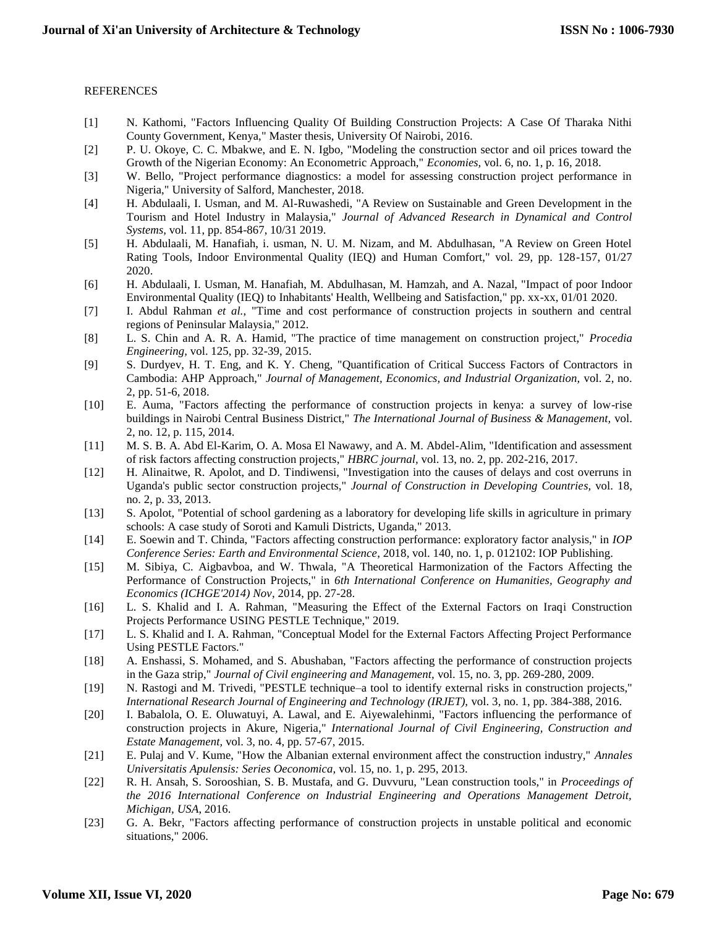# REFERENCES

- [1] N. Kathomi, "Factors Influencing Quality Of Building Construction Projects: A Case Of Tharaka Nithi County Government, Kenya," Master thesis, University Of Nairobi, 2016.
- [2] P. U. Okoye, C. C. Mbakwe, and E. N. Igbo, "Modeling the construction sector and oil prices toward the Growth of the Nigerian Economy: An Econometric Approach," *Economies,* vol. 6, no. 1, p. 16, 2018.
- [3] W. Bello, "Project performance diagnostics: a model for assessing construction project performance in Nigeria," University of Salford, Manchester, 2018.
- [4] H. Abdulaali, I. Usman, and M. Al-Ruwashedi, "A Review on Sustainable and Green Development in the Tourism and Hotel Industry in Malaysia," *Journal of Advanced Research in Dynamical and Control Systems,* vol. 11, pp. 854-867, 10/31 2019.
- [5] H. Abdulaali, M. Hanafiah, i. usman, N. U. M. Nizam, and M. Abdulhasan, "A Review on Green Hotel Rating Tools, Indoor Environmental Quality (IEQ) and Human Comfort," vol. 29, pp. 128-157, 01/27 2020.
- [6] H. Abdulaali, I. Usman, M. Hanafiah, M. Abdulhasan, M. Hamzah, and A. Nazal, "Impact of poor Indoor Environmental Quality (IEQ) to Inhabitants' Health, Wellbeing and Satisfaction," pp. xx-xx, 01/01 2020.
- [7] I. Abdul Rahman *et al.*, "Time and cost performance of construction projects in southern and central regions of Peninsular Malaysia," 2012.
- [8] L. S. Chin and A. R. A. Hamid, "The practice of time management on construction project," *Procedia Engineering,* vol. 125, pp. 32-39, 2015.
- [9] S. Durdyev, H. T. Eng, and K. Y. Cheng, "Quantification of Critical Success Factors of Contractors in Cambodia: AHP Approach," *Journal of Management, Economics, and Industrial Organization,* vol. 2, no. 2, pp. 51-6, 2018.
- [10] E. Auma, "Factors affecting the performance of construction projects in kenya: a survey of low-rise buildings in Nairobi Central Business District," *The International Journal of Business & Management,* vol. 2, no. 12, p. 115, 2014.
- [11] M. S. B. A. Abd El-Karim, O. A. Mosa El Nawawy, and A. M. Abdel-Alim, "Identification and assessment of risk factors affecting construction projects," *HBRC journal,* vol. 13, no. 2, pp. 202-216, 2017.
- [12] H. Alinaitwe, R. Apolot, and D. Tindiwensi, "Investigation into the causes of delays and cost overruns in Uganda's public sector construction projects," *Journal of Construction in Developing Countries,* vol. 18, no. 2, p. 33, 2013.
- [13] S. Apolot, "Potential of school gardening as a laboratory for developing life skills in agriculture in primary schools: A case study of Soroti and Kamuli Districts, Uganda," 2013.
- [14] E. Soewin and T. Chinda, "Factors affecting construction performance: exploratory factor analysis," in *IOP Conference Series: Earth and Environmental Science*, 2018, vol. 140, no. 1, p. 012102: IOP Publishing.
- [15] M. Sibiya, C. Aigbavboa, and W. Thwala, "A Theoretical Harmonization of the Factors Affecting the Performance of Construction Projects," in *6th International Conference on Humanities, Geography and Economics (ICHGE'2014) Nov*, 2014, pp. 27-28.
- [16] L. S. Khalid and I. A. Rahman, "Measuring the Effect of the External Factors on Iraqi Construction Projects Performance USING PESTLE Technique," 2019.
- [17] L. S. Khalid and I. A. Rahman, "Conceptual Model for the External Factors Affecting Project Performance Using PESTLE Factors."
- [18] A. Enshassi, S. Mohamed, and S. Abushaban, "Factors affecting the performance of construction projects in the Gaza strip," *Journal of Civil engineering and Management,* vol. 15, no. 3, pp. 269-280, 2009.
- [19] N. Rastogi and M. Trivedi, "PESTLE technique–a tool to identify external risks in construction projects," *International Research Journal of Engineering and Technology (IRJET),* vol. 3, no. 1, pp. 384-388, 2016.
- [20] I. Babalola, O. E. Oluwatuyi, A. Lawal, and E. Aiyewalehinmi, "Factors influencing the performance of construction projects in Akure, Nigeria," *International Journal of Civil Engineering, Construction and Estate Management,* vol. 3, no. 4, pp. 57-67, 2015.
- [21] E. Pulaj and V. Kume, "How the Albanian external environment affect the construction industry," *Annales Universitatis Apulensis: Series Oeconomica,* vol. 15, no. 1, p. 295, 2013.
- [22] R. H. Ansah, S. Sorooshian, S. B. Mustafa, and G. Duvvuru, "Lean construction tools," in *Proceedings of the 2016 International Conference on Industrial Engineering and Operations Management Detroit, Michigan, USA*, 2016.
- [23] G. A. Bekr, "Factors affecting performance of construction projects in unstable political and economic situations," 2006.